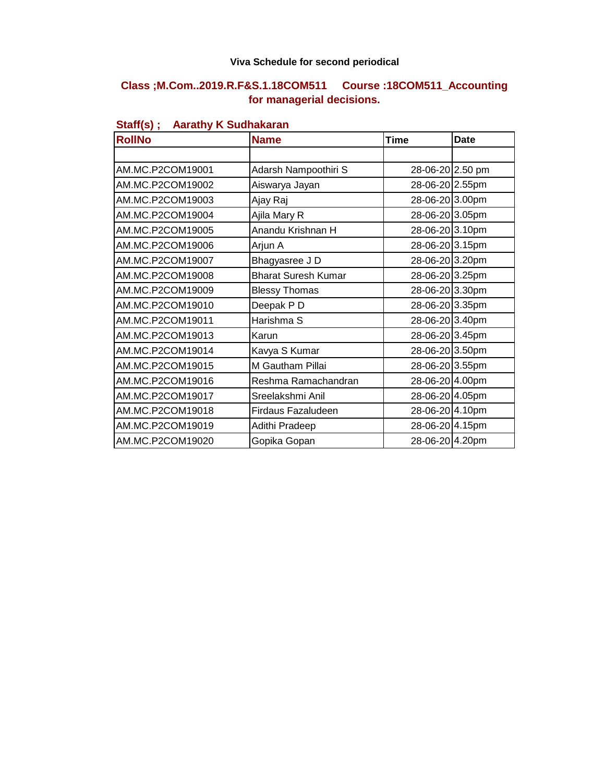#### **Viva Schedule for second periodical**

### **Class ;M.Com..2019.R.F&S.1.18COM511 Course :18COM511\_Accounting for managerial decisions.**

| <b>RollNo</b>    | <b>Name</b>                | <b>Time</b>      | <b>Date</b> |
|------------------|----------------------------|------------------|-------------|
|                  |                            |                  |             |
| AM.MC.P2COM19001 | Adarsh Nampoothiri S       | 28-06-20 2.50 pm |             |
| AM.MC.P2COM19002 | Aiswarya Jayan             | 28-06-20 2.55pm  |             |
| AM.MC.P2COM19003 | Ajay Raj                   | 28-06-20 3.00pm  |             |
| AM.MC.P2COM19004 | Ajila Mary R               | 28-06-20 3.05pm  |             |
| AM.MC.P2COM19005 | Anandu Krishnan H          | 28-06-20 3.10pm  |             |
| AM.MC.P2COM19006 | Arjun A                    | 28-06-20 3.15pm  |             |
| AM.MC.P2COM19007 | Bhagyasree J D             | 28-06-20 3.20pm  |             |
| AM.MC.P2COM19008 | <b>Bharat Suresh Kumar</b> | 28-06-20 3.25pm  |             |
| AM.MC.P2COM19009 | <b>Blessy Thomas</b>       | 28-06-20 3.30pm  |             |
| AM.MC.P2COM19010 | Deepak PD                  | 28-06-20 3.35pm  |             |
| AM.MC.P2COM19011 | Harishma S                 | 28-06-20 3.40pm  |             |
| AM.MC.P2COM19013 | Karun                      | 28-06-20 3.45pm  |             |
| AM.MC.P2COM19014 | Kavya S Kumar              | 28-06-20 3.50pm  |             |
| AM.MC.P2COM19015 | M Gautham Pillai           | 28-06-20 3.55pm  |             |
| AM.MC.P2COM19016 | Reshma Ramachandran        | 28-06-20 4.00pm  |             |
| AM.MC.P2COM19017 | Sreelakshmi Anil           | 28-06-20 4.05pm  |             |
| AM.MC.P2COM19018 | Firdaus Fazaludeen         | 28-06-20 4.10pm  |             |
| AM.MC.P2COM19019 | Adithi Pradeep             | 28-06-20 4.15pm  |             |
| AM.MC.P2COM19020 | Gopika Gopan               | 28-06-20 4.20pm  |             |

## **Staff(s) ; Aarathy K Sudhakaran**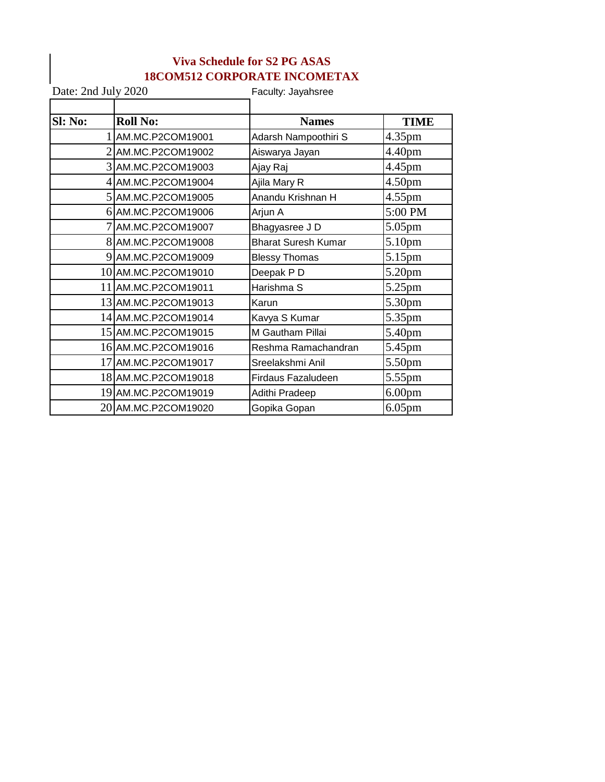### **Viva Schedule for S2 PG ASAS 18COM512 CORPORATE INCOMETAX**

| Date: 2nd July 2020 |                     | Faculty: Jayahsree         |                    |  |
|---------------------|---------------------|----------------------------|--------------------|--|
| SI: No:             | <b>Roll No:</b>     | <b>Names</b>               | <b>TIME</b>        |  |
|                     | AM.MC.P2COM19001    | Adarsh Nampoothiri S       | 4.35pm             |  |
|                     | AM.MC.P2COM19002    | Aiswarya Jayan             | 4.40pm             |  |
|                     | 3 AM.MC.P2COM19003  | Ajay Raj                   | 4.45pm             |  |
|                     | 4 AM.MC.P2COM19004  | Ajila Mary R               | 4.50pm             |  |
|                     | 5 AM.MC.P2COM19005  | Anandu Krishnan H          | $4.55$ pm          |  |
|                     | 6 AM.MC.P2COM19006  | Arjun A                    | 5:00 PM            |  |
|                     | AM.MC.P2COM19007    | Bhagyasree J D             | 5.05pm             |  |
|                     | 8 AM.MC.P2COM19008  | <b>Bharat Suresh Kumar</b> | 5.10pm             |  |
|                     | AM.MC.P2COM19009    | <b>Blessy Thomas</b>       | 5.15pm             |  |
|                     | 10 AM.MC.P2COM19010 | Deepak PD                  | 5.20pm             |  |
|                     | 11 AM.MC.P2COM19011 | Harishma S                 | 5.25pm             |  |
|                     | 13 AM.MC.P2COM19013 | Karun                      | 5.30pm             |  |
|                     | 14 AM.MC.P2COM19014 | Kavya S Kumar              | 5.35pm             |  |
|                     | 15 AM.MC.P2COM19015 | M Gautham Pillai           | 5.40pm             |  |
|                     | 16 AM.MC.P2COM19016 | Reshma Ramachandran        | 5.45pm             |  |
|                     | 17 AM.MC.P2COM19017 | Sreelakshmi Anil           | 5.50pm             |  |
|                     | 18 AM.MC.P2COM19018 | <b>Firdaus Fazaludeen</b>  | 5.55pm             |  |
|                     | 19 AM.MC.P2COM19019 | Adithi Pradeep             | 6.00 <sub>pm</sub> |  |
|                     | 20 AM.MC.P2COM19020 | Gopika Gopan               | $6.05$ pm          |  |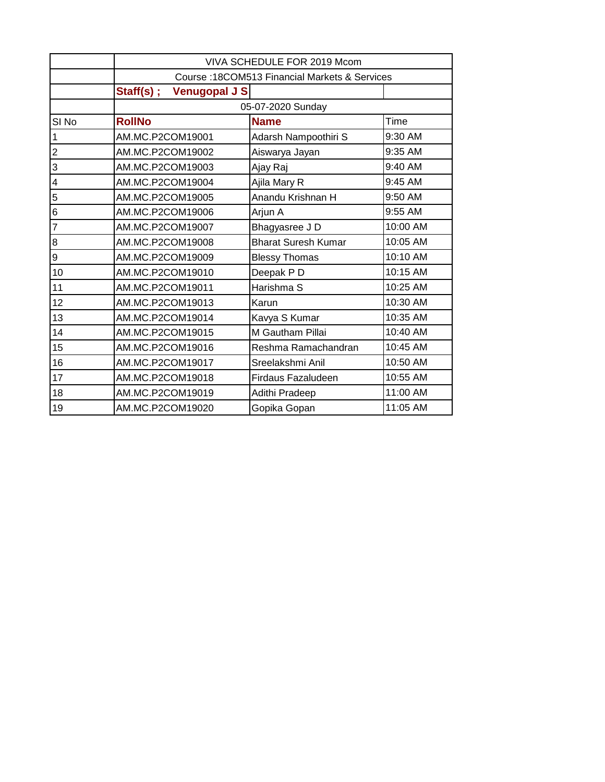|                  | VIVA SCHEDULE FOR 2019 Mcom                   |                            |          |  |
|------------------|-----------------------------------------------|----------------------------|----------|--|
|                  | Course: 18COM513 Financial Markets & Services |                            |          |  |
|                  | Staff(s);<br>Venugopal J S                    |                            |          |  |
|                  |                                               | 05-07-2020 Sunday          |          |  |
| SI <sub>No</sub> | <b>RollNo</b>                                 | <b>Name</b>                | Time     |  |
| $\mathbf{1}$     | AM.MC.P2COM19001                              | Adarsh Nampoothiri S       | 9:30 AM  |  |
| $\overline{c}$   | AM.MC.P2COM19002                              | Aiswarya Jayan             | 9:35 AM  |  |
| 3                | AM.MC.P2COM19003                              | Ajay Raj                   | 9:40 AM  |  |
| 4                | AM.MC.P2COM19004                              | Ajila Mary R               | 9:45 AM  |  |
| 5                | AM.MC.P2COM19005                              | Anandu Krishnan H          | 9:50 AM  |  |
| 6                | AM.MC.P2COM19006                              | Arjun A                    | 9:55 AM  |  |
| $\overline{7}$   | AM.MC.P2COM19007                              | Bhagyasree J D             | 10:00 AM |  |
| 8                | AM.MC.P2COM19008                              | <b>Bharat Suresh Kumar</b> | 10:05 AM |  |
| $\boldsymbol{9}$ | AM.MC.P2COM19009                              | <b>Blessy Thomas</b>       | 10:10 AM |  |
| 10               | AM.MC.P2COM19010                              | Deepak PD                  | 10:15 AM |  |
| 11               | AM.MC.P2COM19011                              | Harishma S                 | 10:25 AM |  |
| 12               | AM.MC.P2COM19013                              | Karun                      | 10:30 AM |  |
| 13               | AM.MC.P2COM19014                              | Kavya S Kumar              | 10:35 AM |  |
| 14               | AM.MC.P2COM19015                              | M Gautham Pillai           | 10:40 AM |  |
| 15               | AM.MC.P2COM19016                              | Reshma Ramachandran        | 10:45 AM |  |
| 16               | AM.MC.P2COM19017                              | Sreelakshmi Anil           | 10:50 AM |  |
| 17               | AM.MC.P2COM19018                              | Firdaus Fazaludeen         | 10:55 AM |  |
| 18               | AM.MC.P2COM19019                              | Adithi Pradeep             | 11:00 AM |  |
| 19               | AM.MC.P2COM19020                              | Gopika Gopan               | 11:05 AM |  |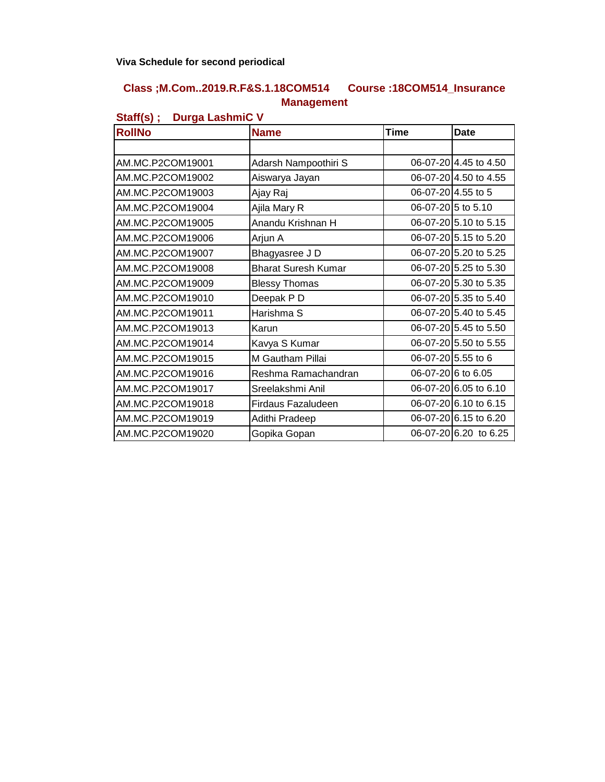#### **Class ;M.Com..2019.R.F&S.1.18COM514 Course :18COM514\_Insurance Management**

| $\cdots$<br><u>-  gu -u</u><br><b>RollNo</b> | <b>Name</b>                | <b>Time</b>        | <b>Date</b>           |
|----------------------------------------------|----------------------------|--------------------|-----------------------|
|                                              |                            |                    |                       |
| AM.MC.P2COM19001                             | Adarsh Nampoothiri S       |                    | 06-07-20 4.45 to 4.50 |
| AM.MC.P2COM19002                             | Aiswarya Jayan             |                    | 06-07-20 4.50 to 4.55 |
| AM.MC.P2COM19003                             | Ajay Raj                   | 06-07-20 4.55 to 5 |                       |
| AM.MC.P2COM19004                             | Ajila Mary R               | 06-07-20 5 to 5.10 |                       |
| AM.MC.P2COM19005                             | Anandu Krishnan H          |                    | 06-07-20 5.10 to 5.15 |
| AM.MC.P2COM19006                             | Arjun A                    |                    | 06-07-20 5.15 to 5.20 |
| AM.MC.P2COM19007                             | Bhagyasree J D             |                    | 06-07-20 5.20 to 5.25 |
| AM.MC.P2COM19008                             | <b>Bharat Suresh Kumar</b> |                    | 06-07-20 5.25 to 5.30 |
| AM.MC.P2COM19009                             | <b>Blessy Thomas</b>       |                    | 06-07-20 5.30 to 5.35 |
| AM.MC.P2COM19010                             | Deepak PD                  |                    | 06-07-20 5.35 to 5.40 |
| AM.MC.P2COM19011                             | Harishma S                 |                    | 06-07-20 5.40 to 5.45 |
| AM.MC.P2COM19013                             | Karun                      |                    | 06-07-20 5.45 to 5.50 |
| AM.MC.P2COM19014                             | Kavya S Kumar              |                    | 06-07-20 5.50 to 5.55 |
| AM.MC.P2COM19015                             | M Gautham Pillai           | 06-07-20 5.55 to 6 |                       |
| AM.MC.P2COM19016                             | Reshma Ramachandran        |                    | 06-07-20 6 to 6.05    |
| AM.MC.P2COM19017                             | Sreelakshmi Anil           |                    | 06-07-20 6.05 to 6.10 |
| AM.MC.P2COM19018                             | Firdaus Fazaludeen         |                    | 06-07-20 6.10 to 6.15 |
| AM.MC.P2COM19019                             | Adithi Pradeep             |                    | 06-07-20 6.15 to 6.20 |
| AM.MC.P2COM19020                             | Gopika Gopan               |                    | 06-07-20 6.20 to 6.25 |

#### **Staff(s) ; Durga LashmiC V**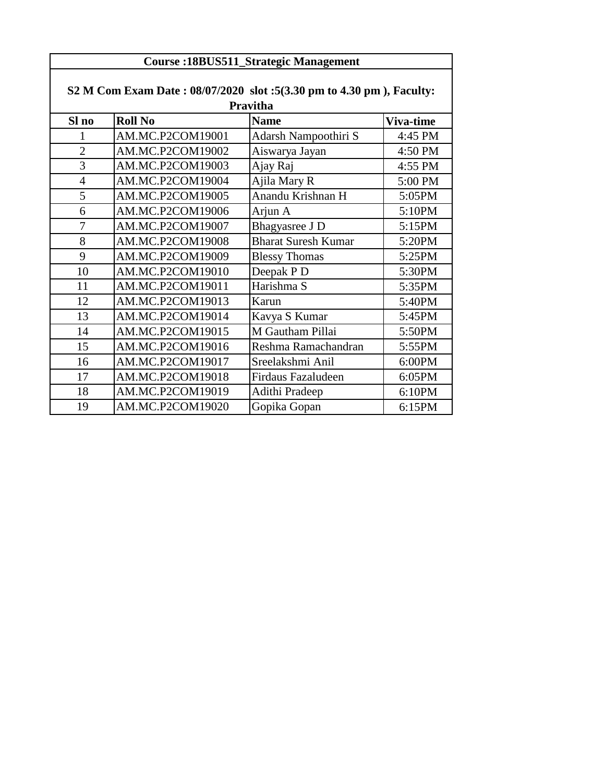|                | S2 M Com Exam Date: 08/07/2020 slot: 5(3.30 pm to 4.30 pm), Faculty:<br>Pravitha |                            |           |  |
|----------------|----------------------------------------------------------------------------------|----------------------------|-----------|--|
| Sl no          | <b>Roll No</b>                                                                   | <b>Name</b>                | Viva-time |  |
| 1              | AM.MC.P2COM19001                                                                 | Adarsh Nampoothiri S       | 4:45 PM   |  |
| $\overline{2}$ | AM.MC.P2COM19002                                                                 | Aiswarya Jayan             | 4:50 PM   |  |
| 3              | AM.MC.P2COM19003                                                                 | Ajay Raj                   | 4:55 PM   |  |
| $\overline{4}$ | AM.MC.P2COM19004                                                                 | Ajila Mary R               | 5:00 PM   |  |
| 5              | AM.MC.P2COM19005                                                                 | Anandu Krishnan H          | 5:05PM    |  |
| 6              | AM.MC.P2COM19006                                                                 | Arjun A                    | 5:10PM    |  |
| $\overline{7}$ | AM.MC.P2COM19007                                                                 | Bhagyasree J D             | 5:15PM    |  |
| 8              | AM.MC.P2COM19008                                                                 | <b>Bharat Suresh Kumar</b> | 5:20PM    |  |
| 9              | AM.MC.P2COM19009                                                                 | <b>Blessy Thomas</b>       | 5:25PM    |  |
| 10             | AM.MC.P2COM19010                                                                 | Deepak P D                 | 5:30PM    |  |
| 11             | AM.MC.P2COM19011                                                                 | Harishma S                 | 5:35PM    |  |
| 12             | AM.MC.P2COM19013                                                                 | Karun                      | 5:40PM    |  |
| 13             | AM.MC.P2COM19014                                                                 | Kavya S Kumar              | 5:45PM    |  |
| 14             | AM.MC.P2COM19015                                                                 | M Gautham Pillai           | 5:50PM    |  |
| 15             | AM.MC.P2COM19016                                                                 | Reshma Ramachandran        | 5:55PM    |  |
| 16             | AM.MC.P2COM19017                                                                 | Sreelakshmi Anil           | 6:00PM    |  |
| 17             | AM.MC.P2COM19018                                                                 | <b>Firdaus Fazaludeen</b>  | 6:05PM    |  |
| 18             | AM.MC.P2COM19019                                                                 | Adithi Pradeep             | 6:10PM    |  |
| 19             | AM.MC.P2COM19020                                                                 | Gopika Gopan               | 6:15PM    |  |